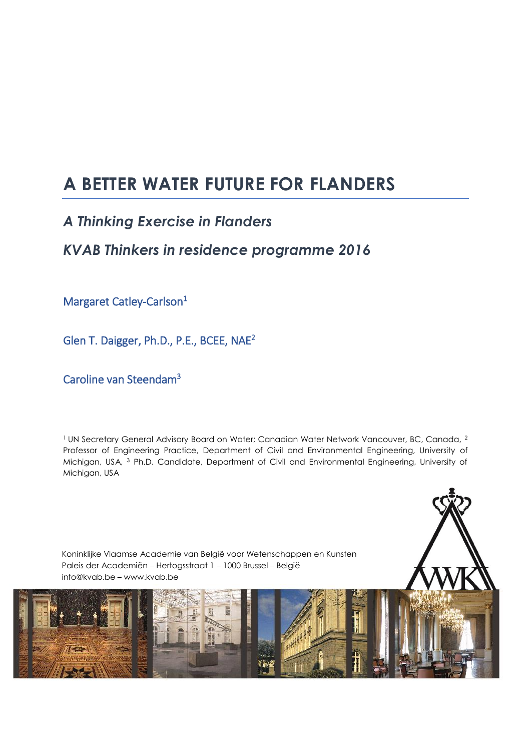# **A BETTER WATER FUTURE FOR FLANDERS**

## *A Thinking Exercise in Flanders*

## *KVAB Thinkers in residence programme 2016*

Margaret Catley-Carlson<sup>1</sup>

Glen T. Daigger, Ph.D., P.E., BCEE, NAE<sup>2</sup>

Caroline van Steendam<sup>3</sup>

<sup>1</sup> UN Secretary General Advisory Board on Water; Canadian Water Network Vancouver, BC, Canada, <sup>2</sup> Professor of Engineering Practice, Department of Civil and Environmental Engineering, University of Michigan, USA, <sup>3</sup> Ph.D. Candidate, Department of Civil and Environmental Engineering, University of Michigan, USA

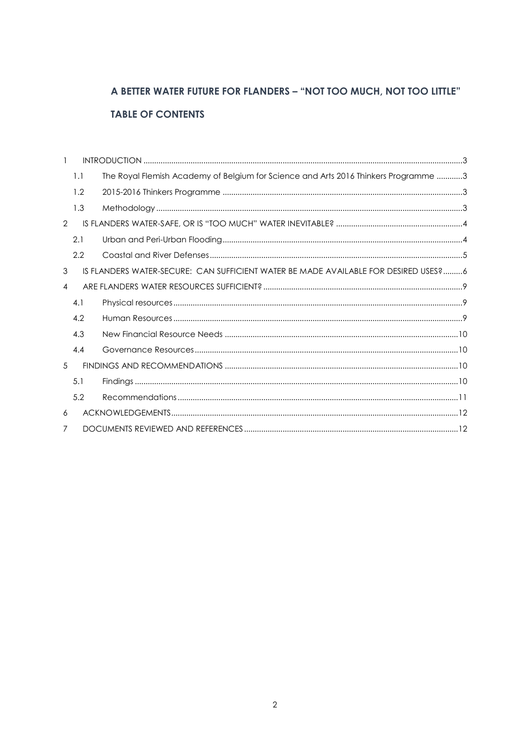## A BETTER WATER FUTURE FOR FLANDERS - "NOT TOO MUCH, NOT TOO LITTLE" **TABLE OF CONTENTS**

| $\mathbf{1}$   |     |                                                                                     |  |
|----------------|-----|-------------------------------------------------------------------------------------|--|
|                | 1.1 | The Royal Flemish Academy of Belgium for Science and Arts 2016 Thinkers Programme 3 |  |
|                | 1.2 |                                                                                     |  |
|                | 1.3 |                                                                                     |  |
| $\overline{2}$ |     |                                                                                     |  |
|                | 2.1 |                                                                                     |  |
|                | 2.2 |                                                                                     |  |
| 3              |     | IS FLANDERS WATER-SECURE: CAN SUFFICIENT WATER BE MADE AVAILABLE FOR DESIRED USES?6 |  |
| 4              |     |                                                                                     |  |
|                |     |                                                                                     |  |
|                | 4.1 |                                                                                     |  |
|                | 4.2 |                                                                                     |  |
|                | 4.3 |                                                                                     |  |
|                | 4.4 |                                                                                     |  |
| 5              |     |                                                                                     |  |
|                | 5.1 |                                                                                     |  |
|                | 5.2 |                                                                                     |  |
| 6              |     |                                                                                     |  |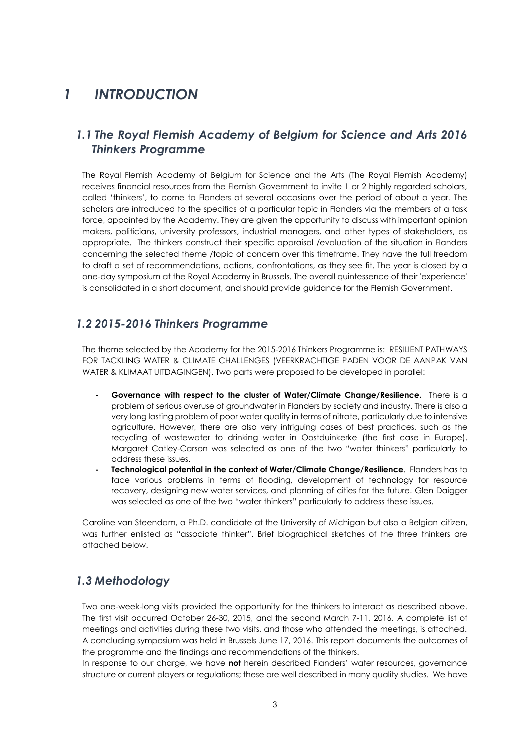## <span id="page-2-0"></span>*1 INTRODUCTION*

### <span id="page-2-1"></span>*1.1 The Royal Flemish Academy of Belgium for Science and Arts 2016 Thinkers Programme*

The Royal Flemish Academy of Belgium for Science and the Arts (The Royal Flemish Academy) receives financial resources from the Flemish Government to invite 1 or 2 highly regarded scholars, called 'thinkers', to come to Flanders at several occasions over the period of about a year. The scholars are introduced to the specifics of a particular topic in Flanders via the members of a task force, appointed by the Academy. They are given the opportunity to discuss with important opinion makers, politicians, university professors, industrial managers, and other types of stakeholders, as appropriate. The thinkers construct their specific appraisal /evaluation of the situation in Flanders concerning the selected theme /topic of concern over this timeframe. They have the full freedom to draft a set of recommendations, actions, confrontations, as they see fit. The year is closed by a one-day symposium at the Royal Academy in Brussels. The overall quintessence of their 'experience' is consolidated in a short document, and should provide guidance for the Flemish Government.

### <span id="page-2-2"></span>*1.2 2015-2016 Thinkers Programme*

The theme selected by the Academy for the 2015-2016 Thinkers Programme is: RESILIENT PATHWAYS FOR TACKLING WATER & CLIMATE CHALLENGES (VEERKRACHTIGE PADEN VOOR DE AANPAK VAN WATER & KLIMAAT UITDAGINGEN). Two parts were proposed to be developed in parallel:

- **- Governance with respect to the cluster of Water/Climate Change/Resilience.** There is a problem of serious overuse of groundwater in Flanders by society and industry. There is also a very long lasting problem of poor water quality in terms of nitrate, particularly due to intensive agriculture. However, there are also very intriguing cases of best practices, such as the recycling of wastewater to drinking water in Oostduinkerke (the first case in Europe). Margaret Catley-Carson was selected as one of the two "water thinkers" particularly to address these issues.
- **- Technological potential in the context of Water/Climate Change/Resilience**. Flanders has to face various problems in terms of flooding, development of technology for resource recovery, designing new water services, and planning of cities for the future. Glen Daigger was selected as one of the two "water thinkers" particularly to address these issues.

Caroline van Steendam, a Ph.D. candidate at the University of Michigan but also a Belgian citizen, was further enlisted as "associate thinker". Brief biographical sketches of the three thinkers are attached below.

### <span id="page-2-3"></span>*1.3 Methodology*

Two one-week-long visits provided the opportunity for the thinkers to interact as described above. The first visit occurred October 26-30, 2015, and the second March 7-11, 2016. A complete list of meetings and activities during these two visits, and those who attended the meetings, is attached. A concluding symposium was held in Brussels June 17, 2016. This report documents the outcomes of the programme and the findings and recommendations of the thinkers.

In response to our charge, we have **not** herein described Flanders' water resources, governance structure or current players or regulations; these are well described in many quality studies. We have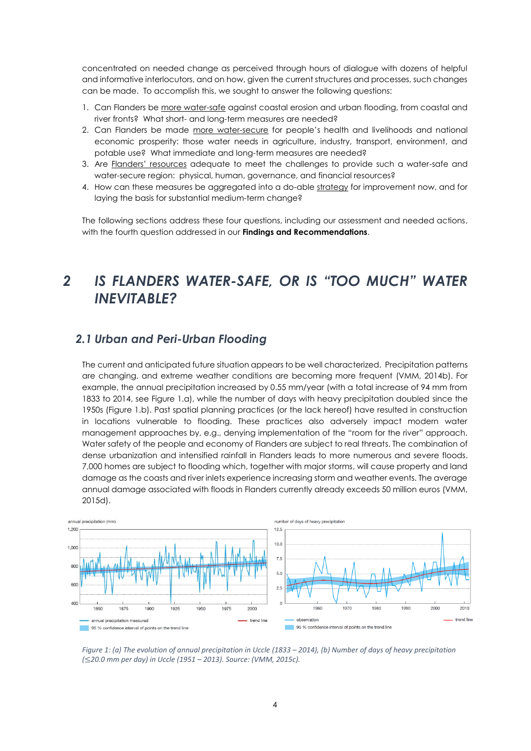concentrated on needed change as perceived through hours of dialogue with dozens of helpful and informative interlocutors, and on how, given the current structures and processes, such changes can be made. To accomplish this, we sought to answer the following questions:

- 1. Can Flanders be more water-safe against coastal erosion and urban flooding, from coastal and river fronts? What short- and long-term measures are needed?
- 2. Can Flanders be made more water-secure for people's health and livelihoods and national economic prosperity: those water needs in agriculture, industry, transport, environment, and potable use? What immediate and long-term measures are needed?
- 3. Are Flanders' resources adequate to meet the challenges to provide such a water-safe and water-secure region: physical, human, governance, and financial resources?
- 4. How can these measures be aggregated into a do-able strategy for improvement now, and for laying the basis for substantial medium-term change?

The following sections address these four questions, including our assessment and needed actions, with the fourth question addressed in our **Findings and Recommendations**.

## <span id="page-3-0"></span>*2 IS FLANDERS WATER-SAFE, OR IS "TOO MUCH" WATER INEVITABLE?*

### <span id="page-3-1"></span>*2.1 Urban and Peri-Urban Flooding*

The current and anticipated future situation appears to be well characterized. Precipitation patterns are changing, and extreme weather conditions are becoming more frequent [\(VMM, 2014b\)](#page-12-0). For example, the annual precipitation increased by 0.55 mm/year (with a total increase of 94 mm from 1833 to 2014, see Figure 1.a), while the number of days with heavy precipitation doubled since the 1950s (Figure 1.b). Past spatial planning practices (or the lack hereof) have resulted in construction in locations vulnerable to flooding. These practices also adversely impact modern water management approaches by, e.g., denying implementation of the "room for the river" approach. Water safety of the people and economy of Flanders are subject to real threats. The combination of dense urbanization and intensified rainfall in Flanders leads to more numerous and severe floods. 7,000 homes are subject to flooding which, together with major storms, will cause property and land damage as the coasts and river inlets experience increasing storm and weather events. The average annual damage associated with floods in Flanders currently already exceeds 50 million euros [\(VMM,](#page-12-1)  [2015d\)](#page-12-1).



*Figure 1: (a) The evolution of annual precipitation in Uccle (1833 – 2014), (b) Number of days of heavy precipitation (*≤*20.0 mm per day) in Uccle (1951 – 2013). Source: [\(VMM, 2015c\)](#page-12-2).*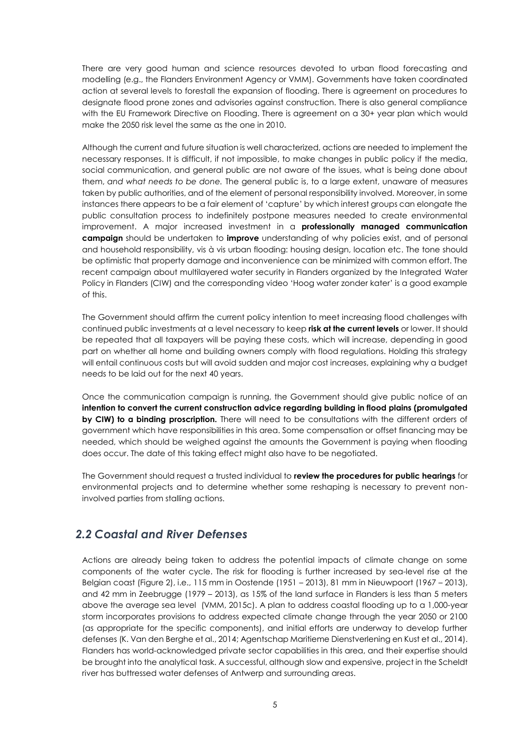There are very good human and science resources devoted to urban flood forecasting and modelling (e.g., the Flanders Environment Agency or VMM). Governments have taken coordinated action at several levels to forestall the expansion of flooding. There is agreement on procedures to designate flood prone zones and advisories against construction. There is also general compliance with the EU Framework Directive on Flooding. There is agreement on a 30+ year plan which would make the 2050 risk level the same as the one in 2010.

Although the current and future situation is well characterized, actions are needed to implement the necessary responses. It is difficult, if not impossible, to make changes in public policy if the media, social communication, and general public are not aware of the issues, what is being done about them, *and what needs to be done.* The general public is, to a large extent, unaware of measures taken by public authorities, and of the element of personal responsibility involved. Moreover, in some instances there appears to be a fair element of 'capture' by which interest groups can elongate the public consultation process to indefinitely postpone measures needed to create environmental improvement. A major increased investment in a **professionally managed communication campaign** should be undertaken to **improve** understanding of why policies exist, and of personal and household responsibility, vis à vis urban flooding: housing design, location etc. The tone should be optimistic that property damage and inconvenience can be minimized with common effort. The recent campaign about multilayered water security in Flanders organized by the Integrated Water Policy in Flanders (CIW) and the corresponding video 'Hoog water zonder kater' is a good example of this.

The Government should affirm the current policy intention to meet increasing flood challenges with continued public investments at a level necessary to keep **risk at the current levels** or lower. It should be repeated that all taxpayers will be paying these costs, which will increase, depending in good part on whether all home and building owners comply with flood regulations. Holding this strategy will entail continuous costs but will avoid sudden and major cost increases, explaining why a budget needs to be laid out for the next 40 years.

Once the communication campaign is running, the Government should give public notice of an **intention to convert the current construction advice regarding building in flood plains (promulgated by CIW) to a binding proscription.** There will need to be consultations with the different orders of government which have responsibilities in this area. Some compensation or offset financing may be needed, which should be weighed against the amounts the Government is paying when flooding does occur. The date of this taking effect might also have to be negotiated.

The Government should request a trusted individual to **review the procedures for public hearings** for environmental projects and to determine whether some reshaping is necessary to prevent noninvolved parties from stalling actions.

### <span id="page-4-0"></span>*2.2 Coastal and River Defenses*

Actions are already being taken to address the potential impacts of climate change on some components of the water cycle. The risk for flooding is further increased by sea-level rise at the Belgian coast (Figure 2), i.e., 115 mm in Oostende (1951 – 2013), 81 mm in Nieuwpoort (1967 – 2013), and 42 mm in Zeebrugge (1979 – 2013), as 15% of the land surface in Flanders is less than 5 meters above the average sea level [\(VMM, 2015c\)](#page-12-2). A plan to address coastal flooding up to a 1,000-year storm incorporates provisions to address expected climate change through the year 2050 or 2100 (as appropriate for the specific components), and initial efforts are underway to develop further defenses [\(K. Van den Berghe et al., 2014;](#page-11-2) [Agentschap Maritieme Dienstverlening en Kust et al., 2014\)](#page-11-3). Flanders has world-acknowledged private sector capabilities in this area, and their expertise should be brought into the analytical task. A successful, although slow and expensive, project in the Scheldt river has buttressed water defenses of Antwerp and surrounding areas.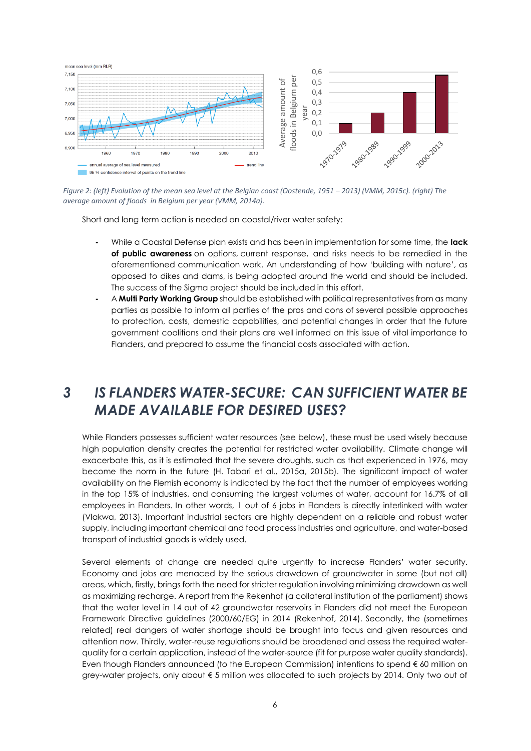

*Figure 2: (left) Evolution of the mean sea level at the Belgian coast (Oostende, 1951 – 2013) [\(VMM, 2015c\)](#page-12-2). (right) The average amount of floods in Belgium per year [\(VMM, 2014a\)](#page-12-3).*

Short and long term action is needed on coastal/river water safety:

- **-** While a Coastal Defense plan exists and has been in implementation for some time, the **lack of public awareness** on options, current response, and risks needs to be remedied in the aforementioned communication work. An understanding of how 'building with nature', as opposed to dikes and dams, is being adopted around the world and should be included. The success of the Sigma project should be included in this effort.
- **-** A **Multi Party Working Group** should be established with political representatives from as many parties as possible to inform all parties of the pros and cons of several possible approaches to protection, costs, domestic capabilities, and potential changes in order that the future government coalitions and their plans are well informed on this issue of vital importance to Flanders, and prepared to assume the financial costs associated with action.

## <span id="page-5-0"></span>*3 IS FLANDERS WATER-SECURE: CAN SUFFICIENT WATER BE MADE AVAILABLE FOR DESIRED USES?*

While Flanders possesses sufficient water resources (see below), these must be used wisely because high population density creates the potential for restricted water availability. Climate change will exacerbate this, as it is estimated that the severe droughts, such as that experienced in 1976, may become the norm in the future [\(H. Tabari et al., 2015a,](#page-11-4) [2015b\)](#page-12-4). The significant impact of water availability on the Flemish economy is indicated by the fact that the number of employees working in the top 15% of industries, and consuming the largest volumes of water, account for 16.7% of all employees in Flanders. In other words, 1 out of 6 jobs in Flanders is directly interlinked with water [\(Vlakwa, 2013\)](#page-12-5). Important industrial sectors are highly dependent on a reliable and robust water supply, including important chemical and food process industries and agriculture, and water-based transport of industrial goods is widely used.

Several elements of change are needed quite urgently to increase Flanders' water security. Economy and jobs are menaced by the serious drawdown of groundwater in some (but not all) areas, which, firstly, brings forth the need for stricter regulation involving minimizing drawdown as well as maximizing recharge. A report from the Rekenhof (a collateral institution of the parliament) shows that the water level in 14 out of 42 groundwater reservoirs in Flanders did not meet the European Framework Directive guidelines (2000/60/EG) in 2014 [\(Rekenhof, 2014\)](#page-11-5). Secondly, the (sometimes related) real dangers of water shortage should be brought into focus and given resources and attention now. Thirdly, water-reuse regulations should be broadened and assess the required waterquality for a certain application, instead of the water-source (fit for purpose water quality standards). Even though Flanders announced (to the European Commission) intentions to spend € 60 million on grey-water projects, only about € 5 million was allocated to such projects by 2014. Only two out of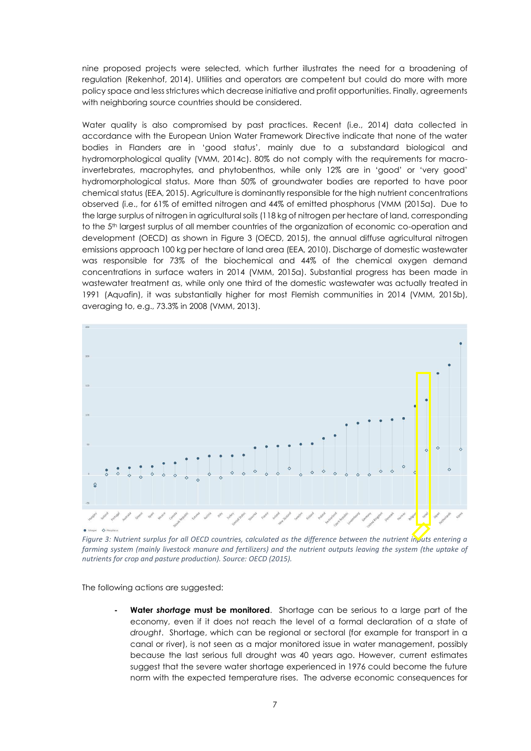nine proposed projects were selected, which further illustrates the need for a broadening of regulation [\(Rekenhof, 2014\)](#page-11-5). Utilities and operators are competent but could do more with more policy space and less strictures which decrease initiative and profit opportunities. Finally, agreements with neighboring source countries should be considered.

Water quality is also compromised by past practices. Recent (i.e., 2014) data collected in accordance with the European Union Water Framework Directive indicate that none of the water bodies in Flanders are in 'good status', mainly due to a substandard biological and hydromorphological quality [\(VMM, 2014c\)](#page-12-6). 80% do not comply with the requirements for macroinvertebrates, macrophytes, and phytobenthos, while only 12% are in 'good' or 'very good' hydromorphological status. More than 50% of groundwater bodies are reported to have poor chemical status [\(EEA, 2015\)](#page-11-6). Agriculture is dominantly responsible for the high nutrient concentrations observed (i.e., for 61% of emitted nitrogen and 44% of emitted phosphorus [\(VMM \(2015a\)](#page-12-7). Due to the large surplus of nitrogen in agricultural soils (118 kg of nitrogen per hectare of land, corresponding to the 5<sup>th</sup> largest surplus of all member countries of the organization of economic co-operation and development (OECD) as shown in Figure 3 [\(OECD, 2015\)](#page-11-7), the annual diffuse agricultural nitrogen emissions approach 100 kg per hectare of land area [\(EEA, 2010\)](#page-11-8). Discharge of domestic wastewater was responsible for 73% of the biochemical and 44% of the chemical oxygen demand concentrations in surface waters in 2014 [\(VMM, 2015a\)](#page-12-7). Substantial progress has been made in wastewater treatment as, while only one third of the domestic wastewater was actually treated in 1991 [\(Aquafin\)](#page-11-9), it was substantially higher for most Flemish communities in 2014 [\(VMM, 2015b\)](#page-12-8), averaging to, e.g., 73.3% in 2008 [\(VMM, 2013\)](#page-12-9).



*Figure 3: Nutrient surplus for all OECD countries, calculated as the difference between the nutrient inputs entering a farming system (mainly livestock manure and fertilizers) and the nutrient outputs leaving the system (the uptake of nutrients for crop and pasture production). Source: [OECD \(2015\)](#page-11-7).*

The following actions are suggested:

**- Water** *shortage* **must be monitored**. Shortage can be serious to a large part of the economy, even if it does not reach the level of a formal declaration of a state of *drought*. Shortage, which can be regional or sectoral (for example for transport in a canal or river), is not seen as a major monitored issue in water management, possibly because the last serious full drought was 40 years ago. However, current estimates suggest that the severe water shortage experienced in 1976 could become the future norm with the expected temperature rises. The adverse economic consequences for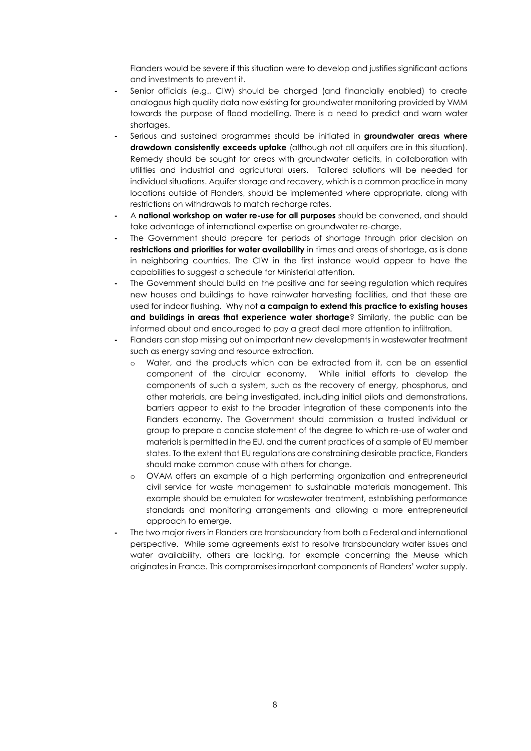Flanders would be severe if this situation were to develop and justifies significant actions and investments to prevent it.

- **-** Senior officials (e.g., CIW) should be charged (and financially enabled) to create analogous high quality data now existing for groundwater monitoring provided by VMM towards the purpose of flood modelling. There is a need to predict and warn water shortages.
- **-** Serious and sustained programmes should be initiated in **groundwater areas where drawdown consistently exceeds uptake** (although *n*ot all aquifers are in this situation). Remedy should be sought for areas with groundwater deficits, in collaboration with utilities and industrial and agricultural users. Tailored solutions will be needed for individual situations. Aquifer storage and recovery, which is a common practice in many locations outside of Flanders, should be implemented where appropriate, along with restrictions on withdrawals to match recharge rates.
- **-** A **national workshop on water re-use for all purposes** should be convened, and should take advantage of international expertise on groundwater re-charge.
- The Government should prepare for periods of shortage through prior decision on **restrictions and priorities for water availability** in times and areas of shortage, as is done in neighboring countries. The CIW in the first instance would appear to have the capabilities to suggest a schedule for Ministerial attention.
- **-** The Government should build on the positive and far seeing regulation which requires new houses and buildings to have rainwater harvesting facilities, and that these are used for indoor flushing. Why not **a campaign to extend this practice to existing houses and buildings in areas that experience water shortage**? Similarly, the public can be informed about and encouraged to pay a great deal more attention to infiltration.
- **-** Flanders can stop missing out on important new developments in wastewater treatment such as energy saving and resource extraction.
	- o Water, and the products which can be extracted from it, can be an essential component of the circular economy. While initial efforts to develop the components of such a system, such as the recovery of energy, phosphorus, and other materials, are being investigated, including initial pilots and demonstrations, barriers appear to exist to the broader integration of these components into the Flanders economy. The Government should commission a trusted individual or group to prepare a concise statement of the degree to which re-use of water and materials is permitted in the EU, and the current practices of a sample of EU member states. To the extent that EU regulations are constraining desirable practice, Flanders should make common cause with others for change.
	- o OVAM offers an example of a high performing organization and entrepreneurial civil service for waste management to sustainable materials management. This example should be emulated for wastewater treatment, establishing performance standards and monitoring arrangements and allowing a more entrepreneurial approach to emerge.
- **-** The two major rivers in Flanders are transboundary from both a Federal and international perspective. While some agreements exist to resolve transboundary water issues and water availability, others are lacking, for example concerning the Meuse which originates in France. This compromises important components of Flanders' water supply.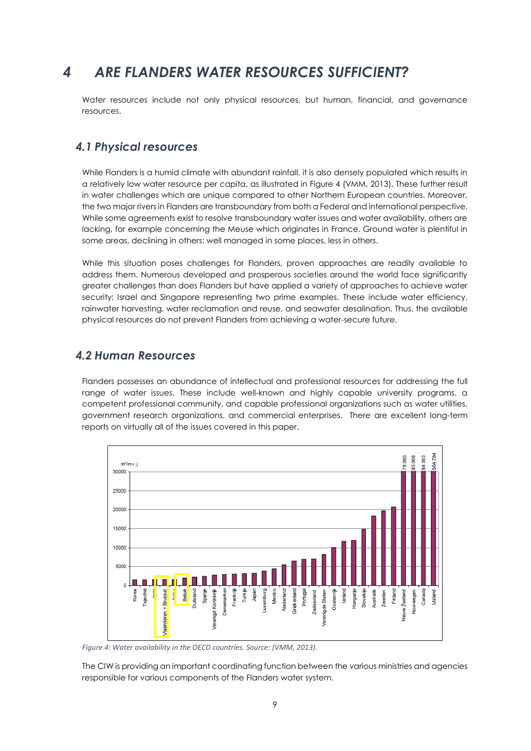## <span id="page-8-0"></span>*4 ARE FLANDERS WATER RESOURCES SUFFICIENT?*

Water resources include not only physical resources, but human, financial, and governance resources.

#### <span id="page-8-1"></span>*4.1 Physical resources*

While Flanders is a humid climate with abundant rainfall, it is also densely populated which results in a relatively low water resource per capita, as illustrated in Figure 4 [\(VMM, 2013\)](#page-12-9). These further result in water challenges which are unique compared to other Northern European countries. Moreover, the two major rivers in Flanders are transboundary from both a Federal and international perspective. While some agreements exist to resolve transboundary water issues and water availability, others are lacking, for example concerning the Meuse which originates in France. Ground water is plentiful in some areas, declining in others; well managed in some places, less in others.

While this situation poses challenges for Flanders, proven approaches are readily available to address them. Numerous developed and prosperous societies around the world face significantly greater challenges than does Flanders but have applied a variety of approaches to achieve water security; Israel and Singapore representing two prime examples. These include water efficiency, rainwater harvesting, water reclamation and reuse, and seawater desalination. Thus, the available physical resources do not prevent Flanders from achieving a water-secure future.

#### <span id="page-8-2"></span>*4.2 Human Resources*

Flanders possesses an abundance of intellectual and professional resources for addressing the full range of water issues. These include well-known and highly capable university programs, a competent professional community, and capable professional organizations such as water utilities, government research organizations, and commercial enterprises. There are excellent long-term reports on virtually all of the issues covered in this paper.



*Figure 4: Water availability in the OECD countries. Source: [\(VMM, 2013\)](#page-12-9).*

The CIW is providing an important coordinating function between the various ministries and agencies responsible for various components of the Flanders water system.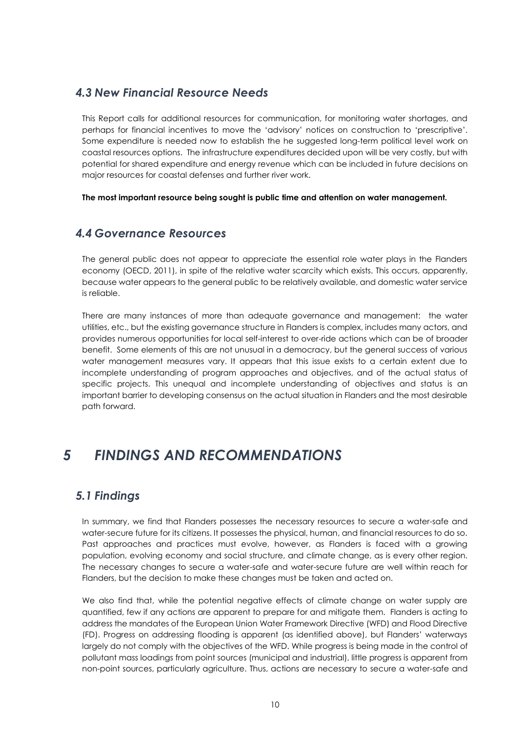### <span id="page-9-0"></span>*4.3 New Financial Resource Needs*

This Report calls for additional resources for communication, for monitoring water shortages, and perhaps for financial incentives to move the 'advisory' notices on construction to 'prescriptive'. Some expenditure is needed now to establish the he suggested long-term political level work on coastal resources options. The infrastructure expenditures decided upon will be very costly, but with potential for shared expenditure and energy revenue which can be included in future decisions on major resources for coastal defenses and further river work.

**The most important resource being sought is public time and attention on water management.**

### <span id="page-9-1"></span>*4.4 Governance Resources*

The general public does not appear to appreciate the essential role water plays in the Flanders economy [\(OECD, 2011\)](#page-11-10), in spite of the relative water scarcity which exists. This occurs, apparently, because water appears to the general public to be relatively available, and domestic water service is reliable.

There are many instances of more than adequate governance and management: the water utilities, etc., but the existing governance structure in Flanders is complex, includes many actors, and provides numerous opportunities for local self-interest to over-ride actions which can be of broader benefit. Some elements of this are not unusual in a democracy, but the general success of various water management measures vary. It appears that this issue exists to a certain extent due to incomplete understanding of program approaches and objectives, and of the actual status of specific projects. This unequal and incomplete understanding of objectives and status is an important barrier to developing consensus on the actual situation in Flanders and the most desirable path forward.

## <span id="page-9-2"></span>*5 FINDINGS AND RECOMMENDATIONS*

### <span id="page-9-3"></span>*5.1 Findings*

In summary, we find that Flanders possesses the necessary resources to secure a water-safe and water-secure future for its citizens. It possesses the physical, human, and financial resources to do so. Past approaches and practices must evolve, however, as Flanders is faced with a growing population, evolving economy and social structure, and climate change, as is every other region. The necessary changes to secure a water-safe and water-secure future are well within reach for Flanders, but the decision to make these changes must be taken and acted on.

We also find that, while the potential negative effects of climate change on water supply are quantified, few if any actions are apparent to prepare for and mitigate them. Flanders is acting to address the mandates of the European Union Water Framework Directive (WFD) and Flood Directive (FD). Progress on addressing flooding is apparent (as identified above), but Flanders' waterways largely do not comply with the objectives of the WFD. While progress is being made in the control of pollutant mass loadings from point sources (municipal and industrial), little progress is apparent from non-point sources, particularly agriculture. Thus, actions are necessary to secure a water-safe and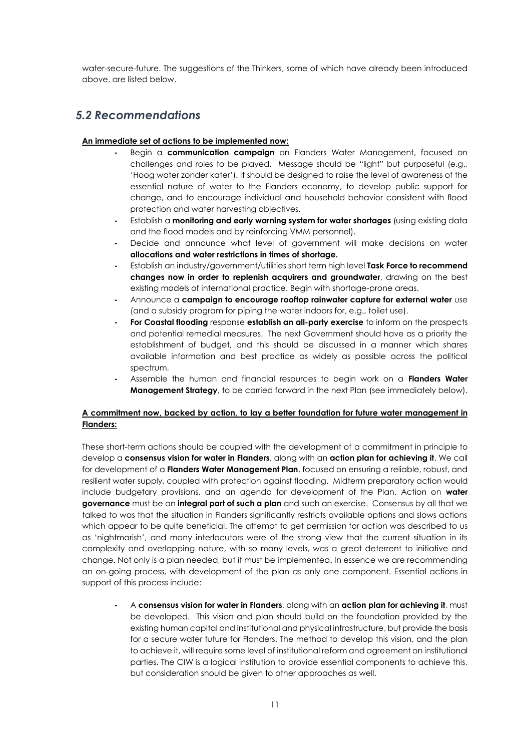water-secure-future. The suggestions of the Thinkers, some of which have already been introduced above, are listed below.

### <span id="page-10-0"></span>*5.2 Recommendations*

#### **An immediate set of actions to be implemented now:**

- **-** Begin a **communication campaign** on Flanders Water Management, focused on challenges and roles to be played. Message should be "light" but purposeful (e.g., 'Hoog water zonder kater'). It should be designed to raise the level of awareness of the essential nature of water to the Flanders economy, to develop public support for change, and to encourage individual and household behavior consistent with flood protection and water harvesting objectives.
- **-** Establish a **monitoring and early warning system for water shortages** (using existing data and the flood models and by reinforcing VMM personnel).
- **-** Decide and announce what level of government will make decisions on water **allocations and water restrictions in times of shortage.**
- **-** Establish an industry/government/utilities short term high level **Task Force to recommend changes now in order to replenish acquirers and groundwater**, drawing on the best existing models of international practice. Begin with shortage-prone areas.
- **-** Announce a **campaign to encourage rooftop rainwater capture for external water** use (and a subsidy program for piping the water indoors for, e.g., toilet use).
- **- For Coastal flooding** response **establish an all-party exercise** to inform on the prospects and potential remedial measures. The next Government should have as a priority the establishment of budget, and this should be discussed in a manner which shares available information and best practice as widely as possible across the political spectrum.
- **-** Assemble the human and financial resources to begin work on a **Flanders Water Management Strategy**, to be carried forward in the next Plan (see immediately below).

#### **A commitment now, backed by action, to lay a better foundation for future water management in Flanders:**

These short-term actions should be coupled with the development of a commitment in principle to develop a **consensus vision for water in Flanders**, along with an **action plan for achieving it**. We call for development of a **Flanders Water Management Plan**, focused on ensuring a reliable, robust, and resilient water supply, coupled with protection against flooding. Midterm preparatory action would include budgetary provisions, and an agenda for development of the Plan. Action on **water governance** must be an **integral part of such a plan** and such an exercise. Consensus by all that we talked to was that the situation in Flanders significantly restricts available options and slows actions which appear to be quite beneficial. The attempt to get permission for action was described to us as 'nightmarish', and many interlocutors were of the strong view that the current situation in its complexity and overlapping nature, with so many levels, was a great deterrent to initiative and change. Not only is a plan needed, but it must be implemented. In essence we are recommending an on-going process, with development of the plan as only one component. Essential actions in support of this process include:

**-** A **consensus vision for water in Flanders**, along with an **action plan for achieving it**, must be developed. This vision and plan should build on the foundation provided by the existing human capital and institutional and physical infrastructure, but provide the basis for a secure water future for Flanders. The method to develop this vision, and the plan to achieve it, will require some level of institutional reform and agreement on institutional parties. The CIW is a logical institution to provide essential components to achieve this, but consideration should be given to other approaches as well.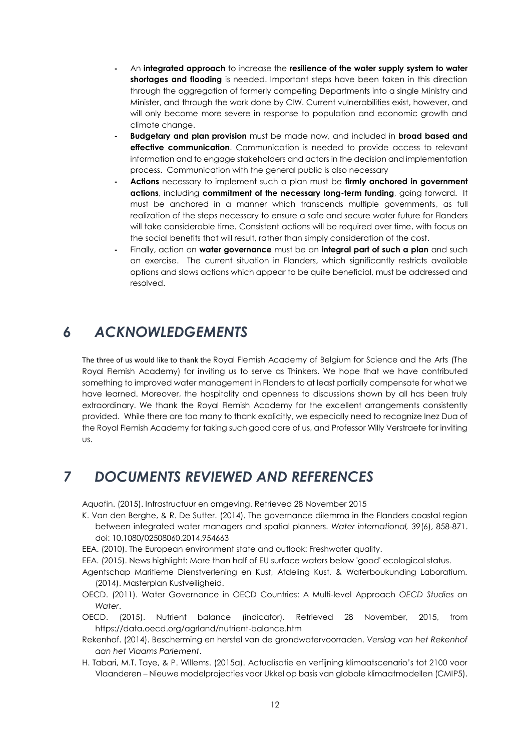- **-** An **integrated approach** to increase the **resilience of the water supply system to water shortages and flooding** is needed. Important steps have been taken in this direction through the aggregation of formerly competing Departments into a single Ministry and Minister, and through the work done by CIW. Current vulnerabilities exist, however, and will only become more severe in response to population and economic growth and climate change.
- **- Budgetary and plan provision** must be made now, and included in **broad based and effective communication**. Communication is needed to provide access to relevant information and to engage stakeholders and actors in the decision and implementation process. Communication with the general public is also necessary
- **- Actions** necessary to implement such a plan must be **firmly anchored in government actions**, including **commitment of the necessary long-term funding**, going forward. It must be anchored in a manner which transcends multiple governments, as full realization of the steps necessary to ensure a safe and secure water future for Flanders will take considerable time. Consistent actions will be required over time, with focus on the social benefits that will result, rather than simply consideration of the cost.
- **-** Finally, action on **water governance** must be an **integral part of such a plan** and such an exercise. The current situation in Flanders, which significantly restricts available options and slows actions which appear to be quite beneficial, must be addressed and resolved.

## <span id="page-11-0"></span>*6 ACKNOWLEDGEMENTS*

The three of us would like to thank the Royal Flemish Academy of Belgium for Science and the Arts (The Royal Flemish Academy) for inviting us to serve as Thinkers. We hope that we have contributed something to improved water management in Flanders to at least partially compensate for what we have learned. Moreover, the hospitality and openness to discussions shown by all has been truly extraordinary. We thank the Royal Flemish Academy for the excellent arrangements consistently provided. While there are too many to thank explicitly, we especially need to recognize Inez Dua of the Royal Flemish Academy for taking such good care of us, and Professor Willy Verstraete for inviting us.

## <span id="page-11-1"></span>*7 DOCUMENTS REVIEWED AND REFERENCES*

<span id="page-11-9"></span>Aquafin. (2015). Infrastructuur en omgeving. Retrieved 28 November 2015

- <span id="page-11-2"></span>K. Van den Berghe, & R. De Sutter. (2014). The governance dilemma in the Flanders coastal region between integrated water managers and spatial planners. *Water international, 39*(6), 858-871. doi: 10.1080/02508060.2014.954663
- <span id="page-11-8"></span>EEA. (2010). The European environment state and outlook: Freshwater quality.
- <span id="page-11-6"></span>EEA. (2015). News highlight: More than half of EU surface waters below 'good' ecological status.
- <span id="page-11-3"></span>Agentschap Maritieme Dienstverlening en Kust, Afdeling Kust, & Waterboukunding Laboratium. (2014). Masterplan Kustveiligheid.
- <span id="page-11-10"></span>OECD. (2011). Water Governance in OECD Countries: A Multi-level Approach *OECD Studies on Water*.
- <span id="page-11-7"></span>OECD. (2015). Nutrient balance (indicator). Retrieved 28 November, 2015, from https://data.oecd.org/agrland/nutrient-balance.htm
- <span id="page-11-5"></span>Rekenhof. (2014). Bescherming en herstel van de grondwatervoorraden. *Verslag van het Rekenhof aan het Vlaams Parlement*.
- <span id="page-11-4"></span>H. Tabari, M.T. Taye, & P. Willems. (2015a). Actualisatie en verfijning klimaatscenario's tot 2100 voor Vlaanderen – Nieuwe modelprojecties voor Ukkel op basis van globale klimaatmodellen (CMIP5).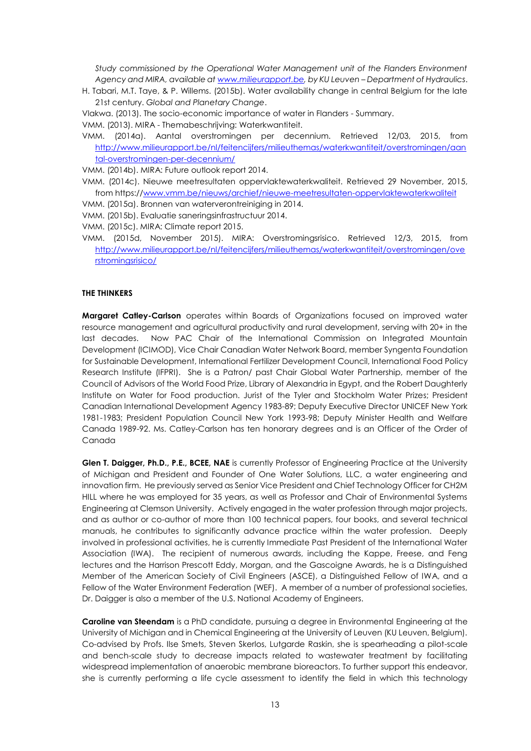*Study commissioned by the Operational Water Management unit of the Flanders Environment Agency and MIRA, available at [www.milieurapport.be,](http://www.milieurapport.be/) by KU Leuven – Department of Hydraulics*.

<span id="page-12-4"></span>H. Tabari, M.T. Taye, & P. Willems. (2015b). Water availability change in central Belgium for the late 21st century. *Global and Planetary Change*.

<span id="page-12-5"></span>Vlakwa. (2013). The socio-economic importance of water in Flanders - Summary.

<span id="page-12-9"></span>VMM. (2013). MIRA - Themabeschrijving: Waterkwantiteit.

<span id="page-12-3"></span>VMM. (2014a). Aantal overstromingen per decennium. Retrieved 12/03, 2015, from [http://www.milieurapport.be/nl/feitencijfers/milieuthemas/waterkwantiteit/overstromingen/aan](http://www.milieurapport.be/nl/feitencijfers/milieuthemas/waterkwantiteit/overstromingen/aantal-overstromingen-per-decennium/) [tal-overstromingen-per-decennium/](http://www.milieurapport.be/nl/feitencijfers/milieuthemas/waterkwantiteit/overstromingen/aantal-overstromingen-per-decennium/)

<span id="page-12-0"></span>VMM. (2014b). MIRA: Future outlook report 2014.

<span id="page-12-6"></span>VMM. (2014c). Nieuwe meetresultaten oppervlaktewaterkwaliteit. Retrieved 29 November, 2015, from https:/[/www.vmm.be/nieuws/archief/nieuwe-meetresultaten-oppervlaktewaterkwaliteit](http://www.vmm.be/nieuws/archief/nieuwe-meetresultaten-oppervlaktewaterkwaliteit)

<span id="page-12-7"></span>VMM. (2015a). Bronnen van waterverontreiniging in 2014.

<span id="page-12-8"></span>VMM. (2015b). Evaluatie saneringsinfrastructuur 2014.

<span id="page-12-1"></span>VMM. (2015d, November 2015). MIRA: Overstromingsrisico. Retrieved 12/3, 2015, from [http://www.milieurapport.be/nl/feitencijfers/milieuthemas/waterkwantiteit/overstromingen/ove](http://www.milieurapport.be/nl/feitencijfers/milieuthemas/waterkwantiteit/overstromingen/overstromingsrisico/) [rstromingsrisico/](http://www.milieurapport.be/nl/feitencijfers/milieuthemas/waterkwantiteit/overstromingen/overstromingsrisico/)

#### **THE THINKERS**

**Margaret Catley-Carlson** operates within Boards of Organizations focused on improved water resource management and agricultural productivity and rural development, serving with 20+ in the last decades. Now PAC Chair of the International Commission on Integrated Mountain Development (ICIMOD), Vice Chair Canadian Water Network Board, member Syngenta Foundation for Sustainable Development, International Fertilizer Development Council, International Food Policy Research Institute (IFPRI). She is a Patron/ past Chair Global Water Partnership, member of the Council of Advisors of the World Food Prize, Library of Alexandria in Egypt, and the Robert Daughterly Institute on Water for Food production. Jurist of the Tyler and Stockholm Water Prizes; President Canadian International Development Agency 1983-89; Deputy Executive Director UNICEF New York 1981-1983; President Population Council New York 1993-98; Deputy Minister Health and Welfare Canada 1989-92. Ms. Catley-Carlson has ten honorary degrees and is an Officer of the Order of Canada

**Glen T. Daigger, Ph.D., P.E., BCEE, NAE** is currently Professor of Engineering Practice at the University of Michigan and President and Founder of One Water Solutions, LLC, a water engineering and innovation firm. He previously served as Senior Vice President and Chief Technology Officer for CH2M HILL where he was employed for 35 years, as well as Professor and Chair of Environmental Systems Engineering at Clemson University. Actively engaged in the water profession through major projects, and as author or co-author of more than 100 technical papers, four books, and several technical manuals, he contributes to significantly advance practice within the water profession. Deeply involved in professional activities, he is currently Immediate Past President of the International Water Association (IWA). The recipient of numerous awards, including the Kappe, Freese, and Feng lectures and the Harrison Prescott Eddy, Morgan, and the Gascoigne Awards, he is a Distinguished Member of the American Society of Civil Engineers (ASCE), a Distinguished Fellow of IWA, and a Fellow of the Water Environment Federation (WEF). A member of a number of professional societies, Dr. Daigger is also a member of the U.S. National Academy of Engineers.

**Caroline van Steendam** is a PhD candidate, pursuing a degree in Environmental Engineering at the University of Michigan and in Chemical Engineering at the University of Leuven (KU Leuven, Belgium). Co-advised by Profs. Ilse Smets, Steven Skerlos, Lutgarde Raskin, she is spearheading a pilot-scale and bench-scale study to decrease impacts related to wastewater treatment by facilitating widespread implementation of anaerobic membrane bioreactors. To further support this endeavor, she is currently performing a life cycle assessment to identify the field in which this technology

<span id="page-12-2"></span>VMM. (2015c). MIRA: Climate report 2015.